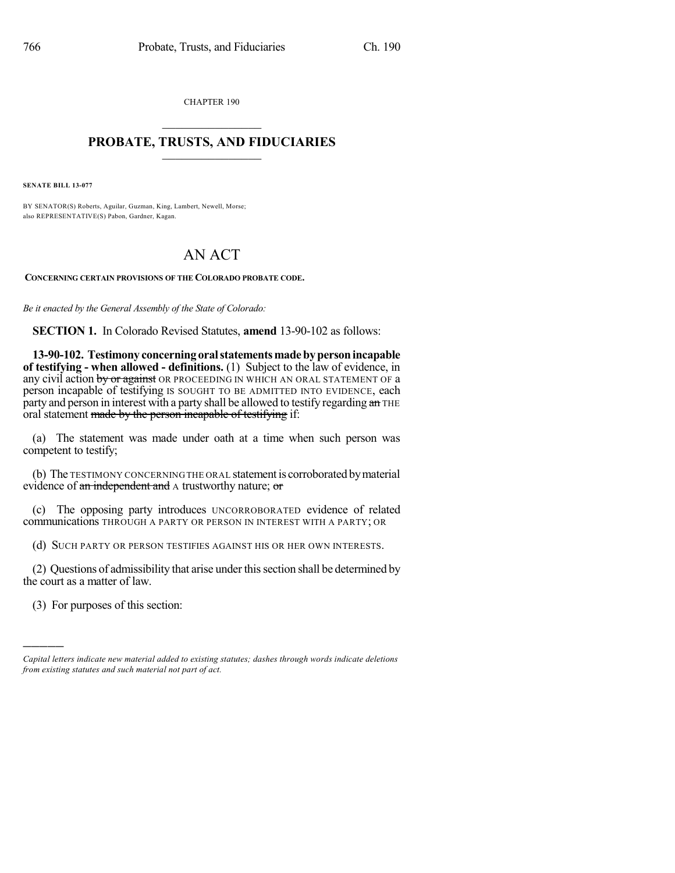CHAPTER 190  $\overline{\phantom{a}}$  . The set of the set of the set of the set of the set of the set of the set of the set of the set of the set of the set of the set of the set of the set of the set of the set of the set of the set of the set o

#### **PROBATE, TRUSTS, AND FIDUCIARIES**  $\overline{\phantom{a}}$

**SENATE BILL 13-077**

BY SENATOR(S) Roberts, Aguilar, Guzman, King, Lambert, Newell, Morse; also REPRESENTATIVE(S) Pabon, Gardner, Kagan.

# AN ACT

**CONCERNING CERTAIN PROVISIONS OF THE COLORADO PROBATE CODE.**

*Be it enacted by the General Assembly of the State of Colorado:*

**SECTION 1.** In Colorado Revised Statutes, **amend** 13-90-102 as follows:

**13-90-102. Testimony concerning oralstatementsmadebypersonincapable of testifying - when allowed - definitions.** (1) Subject to the law of evidence, in any civil action by or against OR PROCEEDING IN WHICH AN ORAL STATEMENT OF a person incapable of testifying IS SOUGHT TO BE ADMITTED INTO EVIDENCE, each party and person in interest with a party shall be allowed to testify regarding an THE oral statement made by the person incapable of testifying if:

(a) The statement was made under oath at a time when such person was competent to testify;

(b) The TESTIMONY CONCERNING THE ORAL statementis corroborated bymaterial evidence of an independent and A trustworthy nature; or

(c) The opposing party introduces UNCORROBORATED evidence of related communications THROUGH A PARTY OR PERSON IN INTEREST WITH A PARTY; OR

(d) SUCH PARTY OR PERSON TESTIFIES AGAINST HIS OR HER OWN INTERESTS.

(2) Questions of admissibility that arise under thissection shall be determined by the court as a matter of law.

(3) For purposes of this section:

)))))

*Capital letters indicate new material added to existing statutes; dashes through words indicate deletions from existing statutes and such material not part of act.*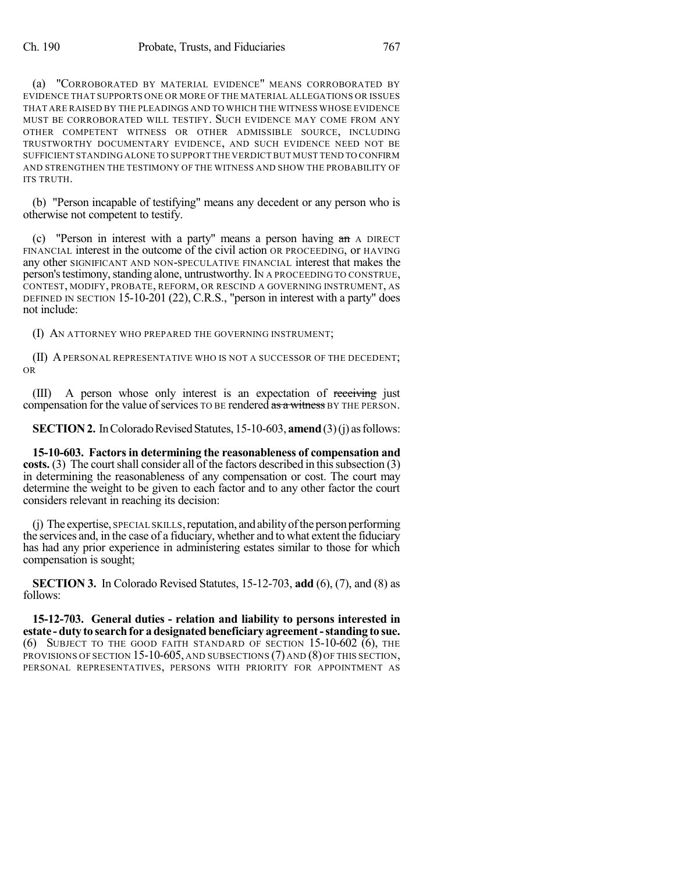(a) "CORROBORATED BY MATERIAL EVIDENCE" MEANS CORROBORATED BY EVIDENCE THAT SUPPORTS ONE OR MORE OF THE MATERIAL ALLEGATIONS OR ISSUES THAT ARE RAISED BY THE PLEADINGS AND TO WHICH THE WITNESS WHOSE EVIDENCE MUST BE CORROBORATED WILL TESTIFY. SUCH EVIDENCE MAY COME FROM ANY OTHER COMPETENT WITNESS OR OTHER ADMISSIBLE SOURCE, INCLUDING TRUSTWORTHY DOCUMENTARY EVIDENCE, AND SUCH EVIDENCE NEED NOT BE SUFFICIENT STANDING ALONE TO SUPPORT THE VERDICT BUT MUST TEND TO CONFIRM AND STRENGTHEN THE TESTIMONY OF THE WITNESS AND SHOW THE PROBABILITY OF ITS TRUTH.

(b) "Person incapable of testifying" means any decedent or any person who is otherwise not competent to testify.

(c) "Person in interest with a party" means a person having  $a_n$  A DIRECT FINANCIAL interest in the outcome of the civil action OR PROCEEDING, or HAVING any other SIGNIFICANT AND NON-SPECULATIVE FINANCIAL interest that makes the person's testimony, standing alone, untrustworthy. IN A PROCEEDING TO CONSTRUE, CONTEST, MODIFY, PROBATE, REFORM, OR RESCIND A GOVERNING INSTRUMENT, AS DEFINED IN SECTION 15-10-201 (22), C.R.S., "person in interest with a party" does not include:

(I) AN ATTORNEY WHO PREPARED THE GOVERNING INSTRUMENT;

(II) APERSONAL REPRESENTATIVE WHO IS NOT A SUCCESSOR OF THE DECEDENT; OR

(III) A person whose only interest is an expectation of receiving just compensation for the value of services TO BE rendered as a witness BY THE PERSON.

**SECTION 2.** In Colorado Revised Statutes, 15-10-603, **amend** (3)(j) as follows:

**15-10-603. Factorsin determining the reasonableness of compensation and costs.** (3) The court shall consider all of the factors described in this subsection (3) in determining the reasonableness of any compensation or cost. The court may determine the weight to be given to each factor and to any other factor the court considers relevant in reaching its decision:

 $(i)$  The expertise, SPECIAL SKILLS, reputation, and ability of the person performing the services and, in the case of a fiduciary, whether and to what extent the fiduciary has had any prior experience in administering estates similar to those for which compensation is sought;

**SECTION 3.** In Colorado Revised Statutes, 15-12-703, **add** (6), (7), and (8) as follows:

**15-12-703. General duties - relation and liability to persons interested in estate -duty to searchfor a designated beneficiary agreement-standing to sue.** (6) SUBJECT TO THE GOOD FAITH STANDARD OF SECTION 15-10-602 (6), THE PROVISIONS OF SECTION 15-10-605, AND SUBSECTIONS (7) AND (8) OF THIS SECTION, PERSONAL REPRESENTATIVES, PERSONS WITH PRIORITY FOR APPOINTMENT AS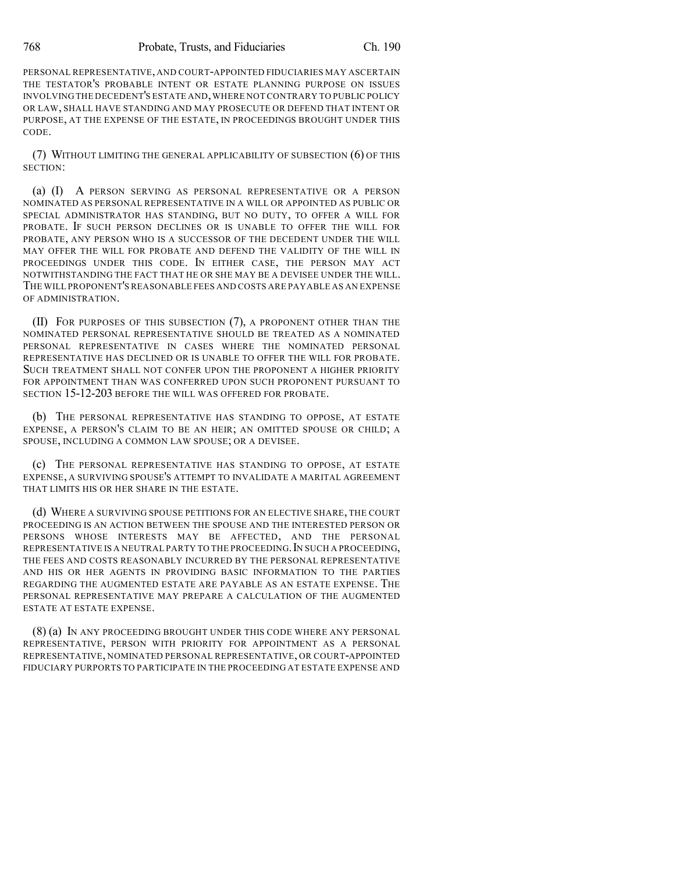PERSONAL REPRESENTATIVE, AND COURT-APPOINTED FIDUCIARIES MAY ASCERTAIN THE TESTATOR'S PROBABLE INTENT OR ESTATE PLANNING PURPOSE ON ISSUES INVOLVING THE DECEDENT'S ESTATE AND,WHERE NOT CONTRARY TO PUBLIC POLICY OR LAW, SHALL HAVE STANDING AND MAY PROSECUTE OR DEFEND THAT INTENT OR PURPOSE, AT THE EXPENSE OF THE ESTATE, IN PROCEEDINGS BROUGHT UNDER THIS CODE.

(7) WITHOUT LIMITING THE GENERAL APPLICABILITY OF SUBSECTION (6) OF THIS SECTION:

(a) (I) A PERSON SERVING AS PERSONAL REPRESENTATIVE OR A PERSON NOMINATED AS PERSONAL REPRESENTATIVE IN A WILL OR APPOINTED AS PUBLIC OR SPECIAL ADMINISTRATOR HAS STANDING, BUT NO DUTY, TO OFFER A WILL FOR PROBATE. IF SUCH PERSON DECLINES OR IS UNABLE TO OFFER THE WILL FOR PROBATE, ANY PERSON WHO IS A SUCCESSOR OF THE DECEDENT UNDER THE WILL MAY OFFER THE WILL FOR PROBATE AND DEFEND THE VALIDITY OF THE WILL IN PROCEEDINGS UNDER THIS CODE. IN EITHER CASE, THE PERSON MAY ACT NOTWITHSTANDING THE FACT THAT HE OR SHE MAY BE A DEVISEE UNDER THE WILL. THE WILL PROPONENT'S REASONABLE FEES AND COSTS ARE PAYABLE AS AN EXPENSE OF ADMINISTRATION.

(II) FOR PURPOSES OF THIS SUBSECTION (7), A PROPONENT OTHER THAN THE NOMINATED PERSONAL REPRESENTATIVE SHOULD BE TREATED AS A NOMINATED PERSONAL REPRESENTATIVE IN CASES WHERE THE NOMINATED PERSONAL REPRESENTATIVE HAS DECLINED OR IS UNABLE TO OFFER THE WILL FOR PROBATE. SUCH TREATMENT SHALL NOT CONFER UPON THE PROPONENT A HIGHER PRIORITY FOR APPOINTMENT THAN WAS CONFERRED UPON SUCH PROPONENT PURSUANT TO SECTION 15-12-203 BEFORE THE WILL WAS OFFERED FOR PROBATE.

(b) THE PERSONAL REPRESENTATIVE HAS STANDING TO OPPOSE, AT ESTATE EXPENSE, A PERSON'S CLAIM TO BE AN HEIR; AN OMITTED SPOUSE OR CHILD; A SPOUSE, INCLUDING A COMMON LAW SPOUSE; OR A DEVISEE.

(c) THE PERSONAL REPRESENTATIVE HAS STANDING TO OPPOSE, AT ESTATE EXPENSE, A SURVIVING SPOUSE'S ATTEMPT TO INVALIDATE A MARITAL AGREEMENT THAT LIMITS HIS OR HER SHARE IN THE ESTATE.

(d) WHERE A SURVIVING SPOUSE PETITIONS FOR AN ELECTIVE SHARE, THE COURT PROCEEDING IS AN ACTION BETWEEN THE SPOUSE AND THE INTERESTED PERSON OR PERSONS WHOSE INTERESTS MAY BE AFFECTED, AND THE PERSONAL REPRESENTATIVE IS A NEUTRAL PARTY TO THE PROCEEDING. IN SUCH A PROCEEDING. THE FEES AND COSTS REASONABLY INCURRED BY THE PERSONAL REPRESENTATIVE AND HIS OR HER AGENTS IN PROVIDING BASIC INFORMATION TO THE PARTIES REGARDING THE AUGMENTED ESTATE ARE PAYABLE AS AN ESTATE EXPENSE. THE PERSONAL REPRESENTATIVE MAY PREPARE A CALCULATION OF THE AUGMENTED ESTATE AT ESTATE EXPENSE.

(8) (a) IN ANY PROCEEDING BROUGHT UNDER THIS CODE WHERE ANY PERSONAL REPRESENTATIVE, PERSON WITH PRIORITY FOR APPOINTMENT AS A PERSONAL REPRESENTATIVE, NOMINATED PERSONAL REPRESENTATIVE, OR COURT-APPOINTED FIDUCIARY PURPORTS TO PARTICIPATE IN THE PROCEEDING AT ESTATE EXPENSE AND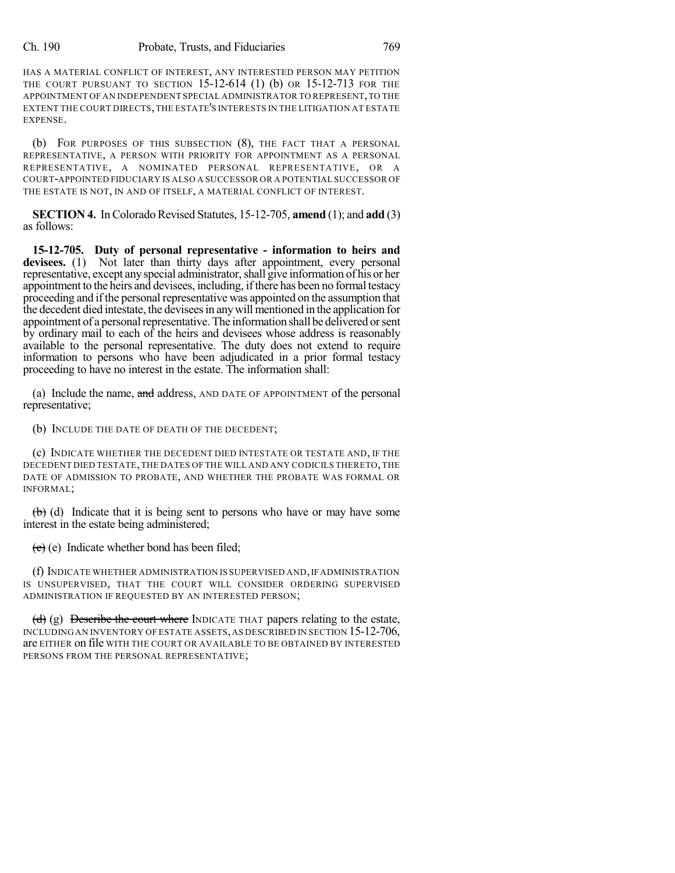HAS A MATERIAL CONFLICT OF INTEREST, ANY INTERESTED PERSON MAY PETITION THE COURT PURSUANT TO SECTION 15-12-614 (1) (b) OR 15-12-713 FOR THE APPOINTMENT OF AN INDEPENDENT SPECIAL ADMINISTRATOR TO REPRESENT,TO THE EXTENT THE COURT DIRECTS,THE ESTATE'S INTERESTS IN THE LITIGATION AT ESTATE EXPENSE.

(b) FOR PURPOSES OF THIS SUBSECTION (8), THE FACT THAT A PERSONAL REPRESENTATIVE, A PERSON WITH PRIORITY FOR APPOINTMENT AS A PERSONAL REPRESENTATIVE, A NOMINATED PERSONAL REPRESENTATIVE, OR A COURT-APPOINTED FIDUCIARY IS ALSO A SUCCESSOR OR A POTENTIAL SUCCESSOR OF THE ESTATE IS NOT, IN AND OF ITSELF, A MATERIAL CONFLICT OF INTEREST.

**SECTION 4.** In Colorado Revised Statutes, 15-12-705, **amend** (1); and **add** (3) as follows:

**15-12-705. Duty of personal representative - information to heirs and** devisees. (1) Not later than thirty days after appointment, every personal representative, except any special administrator, shall give information of his or her appointment to the heirs and devisees, including, if there has been no formal testacy proceeding and if the personal representative was appointed on the assumption that the decedent died intestate, the deviseesin anywill mentioned in the application for appointment of a personal representative. The information shall be delivered or sent by ordinary mail to each of the heirs and devisees whose address is reasonably available to the personal representative. The duty does not extend to require information to persons who have been adjudicated in a prior formal testacy proceeding to have no interest in the estate. The information shall:

(a) Include the name, and address, AND DATE OF APPOINTMENT of the personal representative;

(b) INCLUDE THE DATE OF DEATH OF THE DECEDENT;

(c) INDICATE WHETHER THE DECEDENT DIED INTESTATE OR TESTATE AND, IF THE DECEDENT DIED TESTATE,THE DATES OF THE WILL AND ANY CODICILS THERETO,THE DATE OF ADMISSION TO PROBATE, AND WHETHER THE PROBATE WAS FORMAL OR INFORMAL;

 $\leftrightarrow$  (d) Indicate that it is being sent to persons who have or may have some interest in the estate being administered;

 $(e)$  Indicate whether bond has been filed;

(f) INDICATE WHETHER ADMINISTRATION IS SUPERVISED AND,IF ADMINISTRATION IS UNSUPERVISED, THAT THE COURT WILL CONSIDER ORDERING SUPERVISED ADMINISTRATION IF REQUESTED BY AN INTERESTED PERSON;

(d) (g) Describe the court where INDICATE THAT papers relating to the estate, INCLUDING AN INVENTORY OF ESTATE ASSETS,AS DESCRIBED IN SECTION 15-12-706, are EITHER on file WITH THE COURT OR AVAILABLE TO BE OBTAINED BY INTERESTED PERSONS FROM THE PERSONAL REPRESENTATIVE;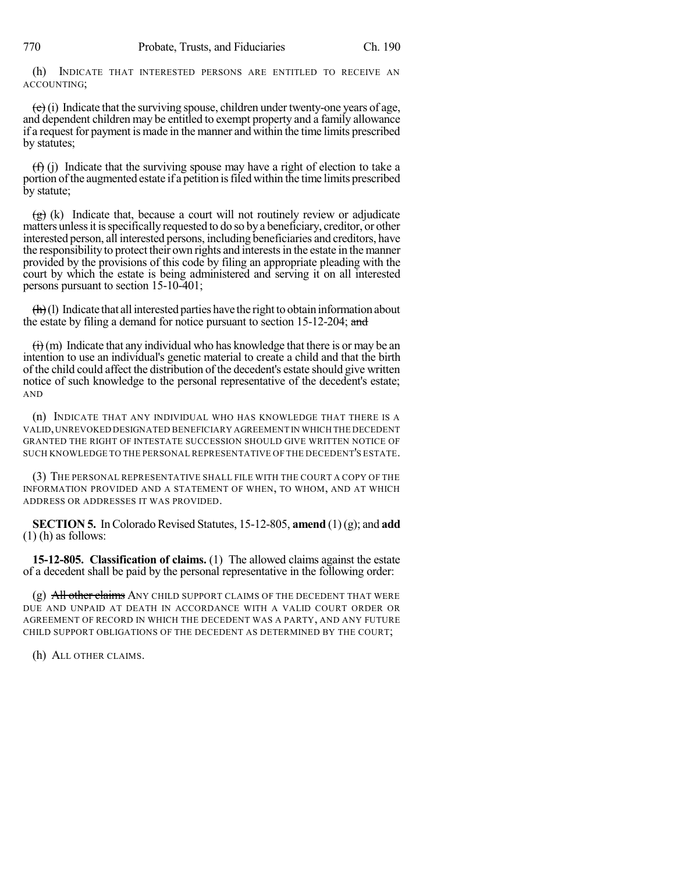(h) INDICATE THAT INTERESTED PERSONS ARE ENTITLED TO RECEIVE AN ACCOUNTING;

 $(e)$  (i) Indicate that the surviving spouse, children under twenty-one years of age, and dependent children may be entitled to exempt property and a family allowance if a request for payment is made in the manner and within the time limits prescribed by statutes;

 $(f)$  (j) Indicate that the surviving spouse may have a right of election to take a portion of the augmented estate if a petition is filed within the time limits prescribed by statute;

 $\left(\frac{g}{g}\right)$  (k) Indicate that, because a court will not routinely review or adjudicate matters unless it is specifically requested to do so by a beneficiary, creditor, or other interested person, all interested persons, including beneficiaries and creditors, have the responsibility to protect their own rights and interestsin the estate in the manner provided by the provisions of this code by filing an appropriate pleading with the court by which the estate is being administered and serving it on all interested persons pursuant to section 15-10-401;

 $\left(\frac{h}{h}\right)$ (1) Indicate that all interested parties have the right to obtain information about the estate by filing a demand for notice pursuant to section 15-12-204; and

 $\overrightarrow{(i)}$  (m) Indicate that any individual who has knowledge that there is or may be an intention to use an individual's genetic material to create a child and that the birth of the child could affect the distribution of the decedent's estate should give written notice of such knowledge to the personal representative of the decedent's estate; AND

(n) INDICATE THAT ANY INDIVIDUAL WHO HAS KNOWLEDGE THAT THERE IS A VALID,UNREVOKED DESIGNATED BENEFICIARY AGREEMENT IN WHICH THE DECEDENT GRANTED THE RIGHT OF INTESTATE SUCCESSION SHOULD GIVE WRITTEN NOTICE OF SUCH KNOWLEDGE TO THE PERSONAL REPRESENTATIVE OF THE DECEDENT'S ESTATE.

(3) THE PERSONAL REPRESENTATIVE SHALL FILE WITH THE COURT A COPY OF THE INFORMATION PROVIDED AND A STATEMENT OF WHEN, TO WHOM, AND AT WHICH ADDRESS OR ADDRESSES IT WAS PROVIDED.

**SECTION 5.** In Colorado Revised Statutes, 15-12-805, **amend** (1)(g); and **add**  $(1)$  (h) as follows:

**15-12-805. Classification of claims.** (1) The allowed claims against the estate of a decedent shall be paid by the personal representative in the following order:

 $(g)$  All other claims ANY CHILD SUPPORT CLAIMS OF THE DECEDENT THAT WERE DUE AND UNPAID AT DEATH IN ACCORDANCE WITH A VALID COURT ORDER OR AGREEMENT OF RECORD IN WHICH THE DECEDENT WAS A PARTY, AND ANY FUTURE CHILD SUPPORT OBLIGATIONS OF THE DECEDENT AS DETERMINED BY THE COURT;

(h) ALL OTHER CLAIMS.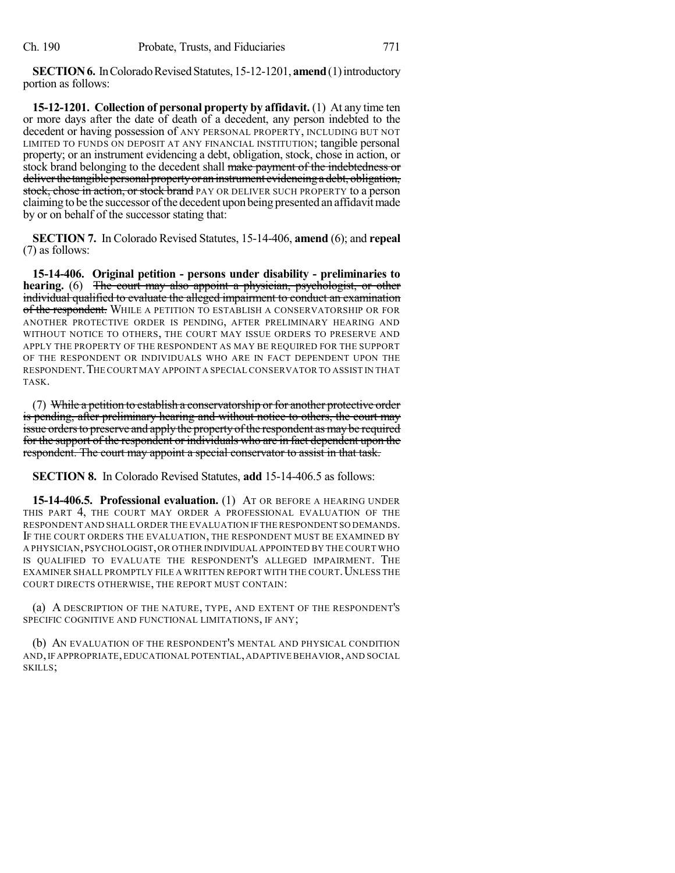**SECTION 6.** In Colorado Revised Statutes, 15-12-1201, **amend** (1) introductory portion as follows:

**15-12-1201. Collection of personal property by affidavit.** (1) At any time ten or more days after the date of death of a decedent, any person indebted to the decedent or having possession of ANY PERSONAL PROPERTY, INCLUDING BUT NOT LIMITED TO FUNDS ON DEPOSIT AT ANY FINANCIAL INSTITUTION; tangible personal property; or an instrument evidencing a debt, obligation, stock, chose in action, or stock brand belonging to the decedent shall make payment of the indebtedness or deliver the tangible personal property or an instrument evidencing a debt, obligation, stock, chose in action, or stock brand PAY OR DELIVER SUCH PROPERTY to a person claiming to be the successor of the decedent upon being presented an affidavit made by or on behalf of the successor stating that:

**SECTION 7.** In Colorado Revised Statutes, 15-14-406, **amend** (6); and **repeal** (7) as follows:

**15-14-406. Original petition - persons under disability - preliminaries to hearing.** (6) The court may also appoint a physician, psychologist, or other individual qualified to evaluate the alleged impairment to conduct an examination of the respondent. WHILE A PETITION TO ESTABLISH A CONSERVATORSHIP OR FOR ANOTHER PROTECTIVE ORDER IS PENDING, AFTER PRELIMINARY HEARING AND WITHOUT NOTICE TO OTHERS, THE COURT MAY ISSUE ORDERS TO PRESERVE AND APPLY THE PROPERTY OF THE RESPONDENT AS MAY BE REQUIRED FOR THE SUPPORT OF THE RESPONDENT OR INDIVIDUALS WHO ARE IN FACT DEPENDENT UPON THE RESPONDENT.THE COURT MAY APPOINT A SPECIALCONSERVATOR TO ASSIST IN THAT TASK.

(7) While a petition to establish a conservatorship or for another protective order is pending, after preliminary hearing and without notice to others, the court may issue orders to preserve and apply the property of the respondent as may be required for the support of the respondent or individuals who are in fact dependent upon the respondent. The court may appoint a special conservator to assist in that task.

**SECTION 8.** In Colorado Revised Statutes, **add** 15-14-406.5 as follows:

**15-14-406.5. Professional evaluation.** (1) AT OR BEFORE A HEARING UNDER THIS PART 4, THE COURT MAY ORDER A PROFESSIONAL EVALUATION OF THE RESPONDENT AND SHALL ORDER THE EVALUATION IF THE RESPONDENT SO DEMANDS. IF THE COURT ORDERS THE EVALUATION, THE RESPONDENT MUST BE EXAMINED BY A PHYSICIAN,PSYCHOLOGIST,OR OTHER INDIVIDUAL APPOINTED BY THE COURT WHO IS QUALIFIED TO EVALUATE THE RESPONDENT'S ALLEGED IMPAIRMENT. THE EXAMINER SHALL PROMPTLY FILE A WRITTEN REPORT WITH THE COURT. UNLESS THE COURT DIRECTS OTHERWISE, THE REPORT MUST CONTAIN:

(a) A DESCRIPTION OF THE NATURE, TYPE, AND EXTENT OF THE RESPONDENT'S SPECIFIC COGNITIVE AND FUNCTIONAL LIMITATIONS, IF ANY;

(b) AN EVALUATION OF THE RESPONDENT'S MENTAL AND PHYSICAL CONDITION AND,IF APPROPRIATE,EDUCATIONAL POTENTIAL,ADAPTIVE BEHAVIOR,AND SOCIAL SKILLS;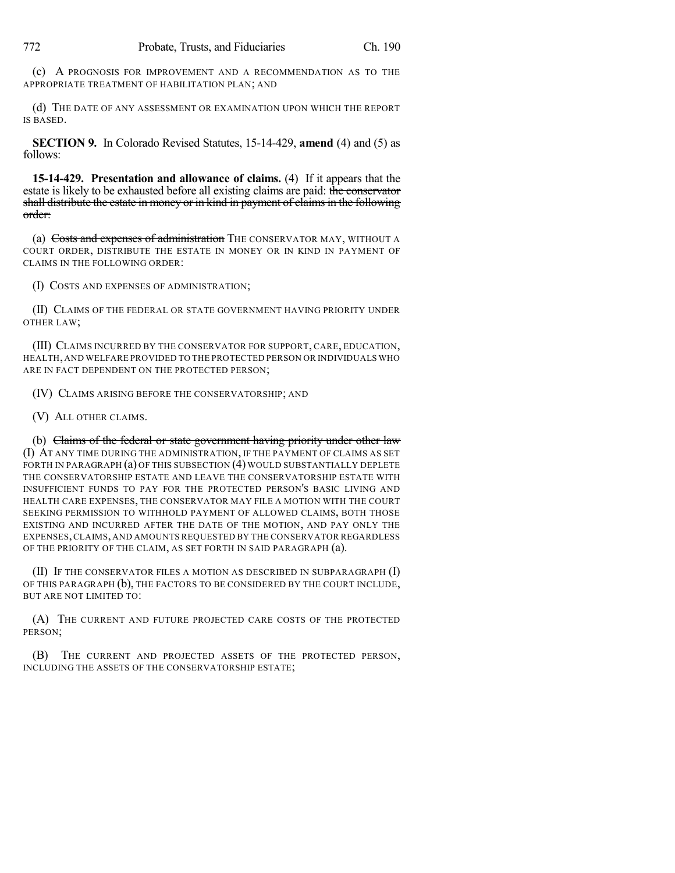(c) A PROGNOSIS FOR IMPROVEMENT AND A RECOMMENDATION AS TO THE APPROPRIATE TREATMENT OF HABILITATION PLAN; AND

(d) THE DATE OF ANY ASSESSMENT OR EXAMINATION UPON WHICH THE REPORT IS BASED.

**SECTION 9.** In Colorado Revised Statutes, 15-14-429, **amend** (4) and (5) as follows:

**15-14-429. Presentation and allowance of claims.** (4) If it appears that the estate is likely to be exhausted before all existing claims are paid: the conservator shall distribute the estate in money or in kind in payment of claims in the following order:

(a) Costs and expenses of administration THE CONSERVATOR MAY, WITHOUT A COURT ORDER, DISTRIBUTE THE ESTATE IN MONEY OR IN KIND IN PAYMENT OF CLAIMS IN THE FOLLOWING ORDER:

(I) COSTS AND EXPENSES OF ADMINISTRATION;

(II) CLAIMS OF THE FEDERAL OR STATE GOVERNMENT HAVING PRIORITY UNDER OTHER LAW;

(III) CLAIMS INCURRED BY THE CONSERVATOR FOR SUPPORT, CARE, EDUCATION, HEALTH,AND WELFARE PROVIDED TO THE PROTECTED PERSON OR INDIVIDUALS WHO ARE IN FACT DEPENDENT ON THE PROTECTED PERSON;

(IV) CLAIMS ARISING BEFORE THE CONSERVATORSHIP; AND

(V) ALL OTHER CLAIMS.

(b) Claims of the federal or state government having priority under other law (I) AT ANY TIME DURING THE ADMINISTRATION, IF THE PAYMENT OF CLAIMS AS SET FORTH IN PARAGRAPH (a) OF THIS SUBSECTION (4) WOULD SUBSTANTIALLY DEPLETE THE CONSERVATORSHIP ESTATE AND LEAVE THE CONSERVATORSHIP ESTATE WITH INSUFFICIENT FUNDS TO PAY FOR THE PROTECTED PERSON'S BASIC LIVING AND HEALTH CARE EXPENSES, THE CONSERVATOR MAY FILE A MOTION WITH THE COURT SEEKING PERMISSION TO WITHHOLD PAYMENT OF ALLOWED CLAIMS, BOTH THOSE EXISTING AND INCURRED AFTER THE DATE OF THE MOTION, AND PAY ONLY THE EXPENSES,CLAIMS, AND AMOUNTS REQUESTED BY THE CONSERVATOR REGARDLESS OF THE PRIORITY OF THE CLAIM, AS SET FORTH IN SAID PARAGRAPH (a).

(II) IF THE CONSERVATOR FILES A MOTION AS DESCRIBED IN SUBPARAGRAPH (I) OF THIS PARAGRAPH (b), THE FACTORS TO BE CONSIDERED BY THE COURT INCLUDE, BUT ARE NOT LIMITED TO:

(A) THE CURRENT AND FUTURE PROJECTED CARE COSTS OF THE PROTECTED PERSON;

(B) THE CURRENT AND PROJECTED ASSETS OF THE PROTECTED PERSON, INCLUDING THE ASSETS OF THE CONSERVATORSHIP ESTATE;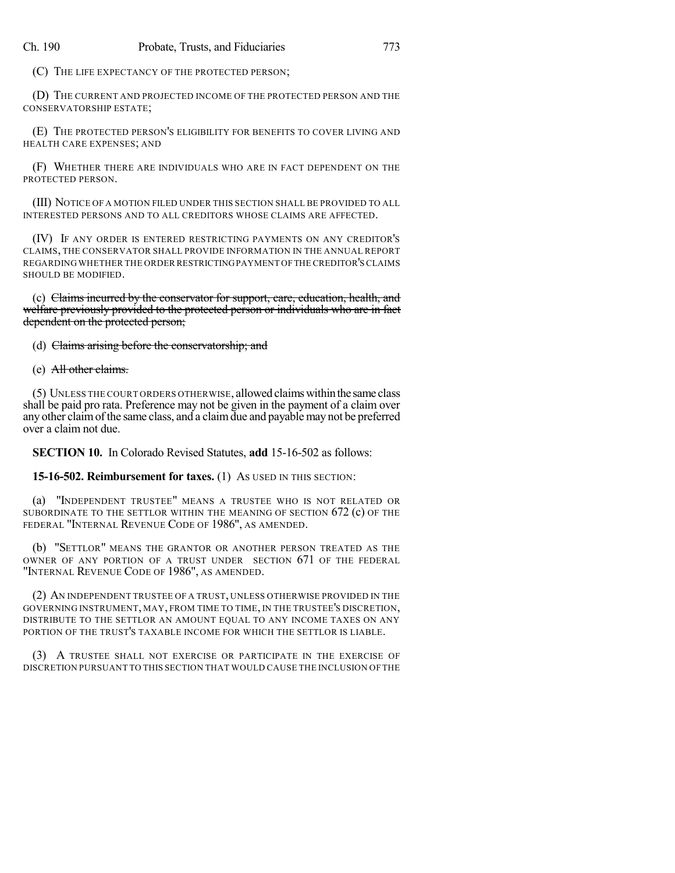(C) THE LIFE EXPECTANCY OF THE PROTECTED PERSON;

(D) THE CURRENT AND PROJECTED INCOME OF THE PROTECTED PERSON AND THE CONSERVATORSHIP ESTATE;

(E) THE PROTECTED PERSON'S ELIGIBILITY FOR BENEFITS TO COVER LIVING AND HEALTH CARE EXPENSES; AND

(F) WHETHER THERE ARE INDIVIDUALS WHO ARE IN FACT DEPENDENT ON THE PROTECTED PERSON.

(III) NOTICE OF A MOTION FILED UNDER THIS SECTION SHALL BE PROVIDED TO ALL INTERESTED PERSONS AND TO ALL CREDITORS WHOSE CLAIMS ARE AFFECTED.

(IV) IF ANY ORDER IS ENTERED RESTRICTING PAYMENTS ON ANY CREDITOR'S CLAIMS, THE CONSERVATOR SHALL PROVIDE INFORMATION IN THE ANNUAL REPORT REGARDING WHETHER THE ORDER RESTRICTINGPAYMENT OFTHE CREDITOR'SCLAIMS SHOULD BE MODIFIED.

(c) Claims incurred by the conservator for support, care, education, health, and welfare previously provided to the protected person or individuals who are in fact dependent on the protected person;

(d) Claims arising before the conservatorship; and

(e) All other claims.

(5) UNLESS THE COURT ORDERS OTHERWISE, allowed claimswithinthe same class shall be paid pro rata. Preference may not be given in the payment of a claim over any other claimofthe same class, and a claimdue and payable may not be preferred over a claim not due.

**SECTION 10.** In Colorado Revised Statutes, **add** 15-16-502 as follows:

**15-16-502. Reimbursement for taxes.** (1) AS USED IN THIS SECTION:

(a) "INDEPENDENT TRUSTEE" MEANS A TRUSTEE WHO IS NOT RELATED OR SUBORDINATE TO THE SETTLOR WITHIN THE MEANING OF SECTION 672 (c) OF THE FEDERAL "INTERNAL REVENUE CODE OF 1986", AS AMENDED.

(b) "SETTLOR" MEANS THE GRANTOR OR ANOTHER PERSON TREATED AS THE OWNER OF ANY PORTION OF A TRUST UNDER SECTION 671 OF THE FEDERAL "INTERNAL REVENUE CODE OF 1986", AS AMENDED.

(2) AN INDEPENDENT TRUSTEE OF A TRUST, UNLESS OTHERWISE PROVIDED IN THE GOVERNING INSTRUMENT, MAY, FROM TIME TO TIME, IN THE TRUSTEE'S DISCRETION, DISTRIBUTE TO THE SETTLOR AN AMOUNT EQUAL TO ANY INCOME TAXES ON ANY PORTION OF THE TRUST'S TAXABLE INCOME FOR WHICH THE SETTLOR IS LIABLE.

(3) A TRUSTEE SHALL NOT EXERCISE OR PARTICIPATE IN THE EXERCISE OF DISCRETION PURSUANT TO THIS SECTION THAT WOULD CAUSE THE INCLUSION OF THE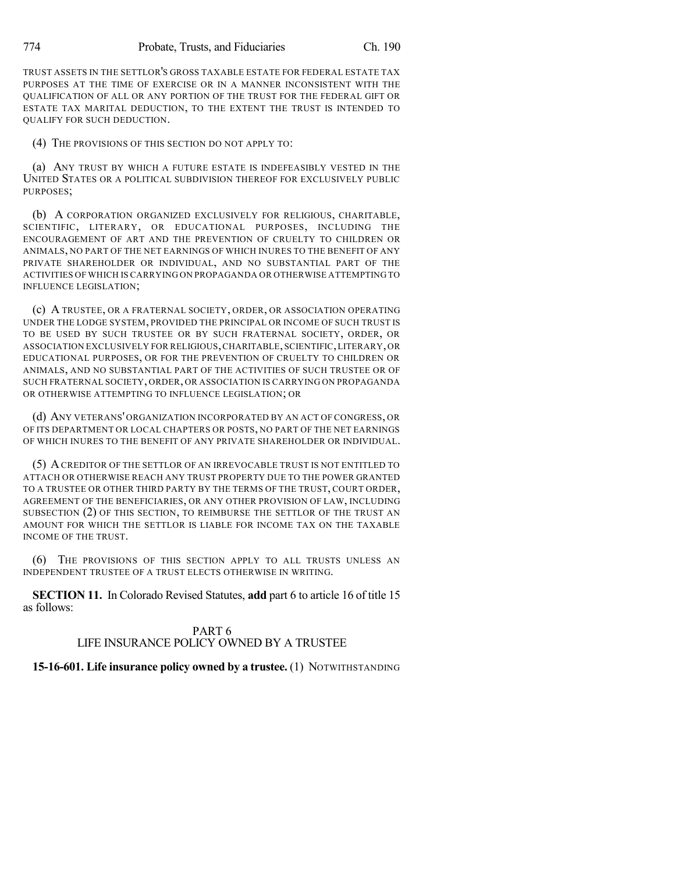TRUST ASSETS IN THE SETTLOR'S GROSS TAXABLE ESTATE FOR FEDERAL ESTATE TAX PURPOSES AT THE TIME OF EXERCISE OR IN A MANNER INCONSISTENT WITH THE QUALIFICATION OF ALL OR ANY PORTION OF THE TRUST FOR THE FEDERAL GIFT OR ESTATE TAX MARITAL DEDUCTION, TO THE EXTENT THE TRUST IS INTENDED TO QUALIFY FOR SUCH DEDUCTION.

(4) THE PROVISIONS OF THIS SECTION DO NOT APPLY TO:

(a) ANY TRUST BY WHICH A FUTURE ESTATE IS INDEFEASIBLY VESTED IN THE UNITED STATES OR A POLITICAL SUBDIVISION THEREOF FOR EXCLUSIVELY PUBLIC PURPOSES;

(b) A CORPORATION ORGANIZED EXCLUSIVELY FOR RELIGIOUS, CHARITABLE, SCIENTIFIC, LITERARY, OR EDUCATIONAL PURPOSES, INCLUDING THE ENCOURAGEMENT OF ART AND THE PREVENTION OF CRUELTY TO CHILDREN OR ANIMALS, NO PART OF THE NET EARNINGS OF WHICH INURES TO THE BENEFIT OF ANY PRIVATE SHAREHOLDER OR INDIVIDUAL, AND NO SUBSTANTIAL PART OF THE ACTIVITIES OF WHICH IS CARRYING ON PROPAGANDA OR OTHERWISE ATTEMPTING TO INFLUENCE LEGISLATION;

(c) A TRUSTEE, OR A FRATERNAL SOCIETY, ORDER, OR ASSOCIATION OPERATING UNDER THE LODGE SYSTEM, PROVIDED THE PRINCIPAL OR INCOME OF SUCH TRUST IS TO BE USED BY SUCH TRUSTEE OR BY SUCH FRATERNAL SOCIETY, ORDER, OR ASSOCIATION EXCLUSIVELY FOR RELIGIOUS,CHARITABLE,SCIENTIFIC,LITERARY,OR EDUCATIONAL PURPOSES, OR FOR THE PREVENTION OF CRUELTY TO CHILDREN OR ANIMALS, AND NO SUBSTANTIAL PART OF THE ACTIVITIES OF SUCH TRUSTEE OR OF SUCH FRATERNAL SOCIETY, ORDER, OR ASSOCIATION IS CARRYING ON PROPAGANDA OR OTHERWISE ATTEMPTING TO INFLUENCE LEGISLATION; OR

(d) ANY VETERANS' ORGANIZATION INCORPORATED BY AN ACT OF CONGRESS, OR OF ITS DEPARTMENT OR LOCAL CHAPTERS OR POSTS, NO PART OF THE NET EARNINGS OF WHICH INURES TO THE BENEFIT OF ANY PRIVATE SHAREHOLDER OR INDIVIDUAL.

(5) ACREDITOR OF THE SETTLOR OF AN IRREVOCABLE TRUST IS NOT ENTITLED TO ATTACH OR OTHERWISE REACH ANY TRUST PROPERTY DUE TO THE POWER GRANTED TO A TRUSTEE OR OTHER THIRD PARTY BY THE TERMS OF THE TRUST, COURT ORDER, AGREEMENT OF THE BENEFICIARIES, OR ANY OTHER PROVISION OF LAW, INCLUDING SUBSECTION (2) OF THIS SECTION, TO REIMBURSE THE SETTLOR OF THE TRUST AN AMOUNT FOR WHICH THE SETTLOR IS LIABLE FOR INCOME TAX ON THE TAXABLE INCOME OF THE TRUST.

(6) THE PROVISIONS OF THIS SECTION APPLY TO ALL TRUSTS UNLESS AN INDEPENDENT TRUSTEE OF A TRUST ELECTS OTHERWISE IN WRITING.

**SECTION 11.** In Colorado Revised Statutes, **add** part 6 to article 16 of title 15 as follows:

## PART 6 LIFE INSURANCE POLICY OWNED BY A TRUSTEE

## **15-16-601. Life insurance policy owned by a trustee.** (1) NOTWITHSTANDING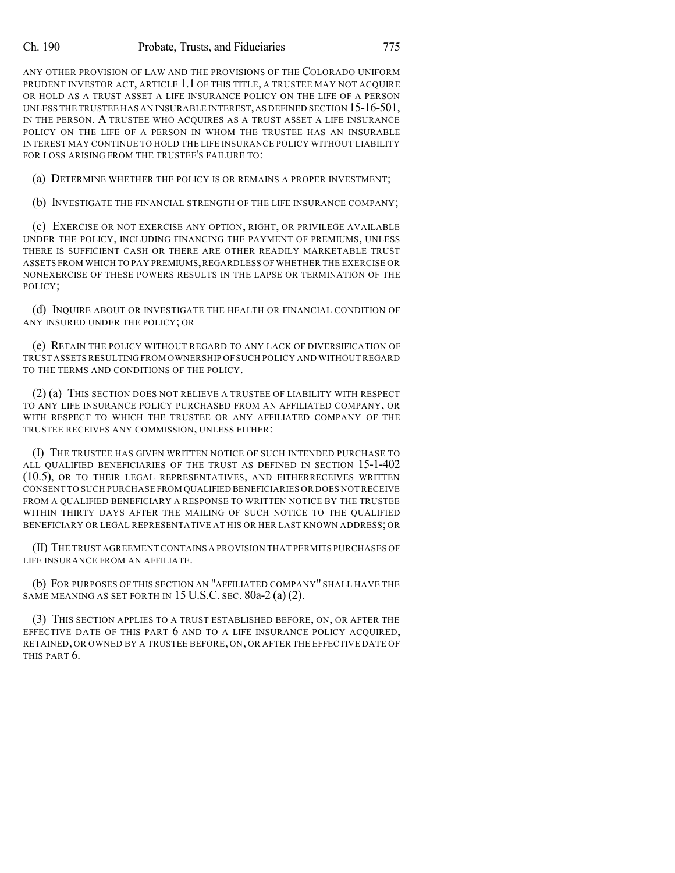#### Ch. 190 Probate, Trusts, and Fiduciaries 775

ANY OTHER PROVISION OF LAW AND THE PROVISIONS OF THE COLORADO UNIFORM PRUDENT INVESTOR ACT, ARTICLE 1.1 OF THIS TITLE, A TRUSTEE MAY NOT ACQUIRE OR HOLD AS A TRUST ASSET A LIFE INSURANCE POLICY ON THE LIFE OF A PERSON UNLESS THE TRUSTEE HAS AN INSURABLE INTEREST,AS DEFINED SECTION 15-16-501, IN THE PERSON. A TRUSTEE WHO ACQUIRES AS A TRUST ASSET A LIFE INSURANCE POLICY ON THE LIFE OF A PERSON IN WHOM THE TRUSTEE HAS AN INSURABLE INTEREST MAY CONTINUE TO HOLD THE LIFE INSURANCE POLICY WITHOUT LIABILITY FOR LOSS ARISING FROM THE TRUSTEE'S FAILURE TO:

(a) DETERMINE WHETHER THE POLICY IS OR REMAINS A PROPER INVESTMENT;

(b) INVESTIGATE THE FINANCIAL STRENGTH OF THE LIFE INSURANCE COMPANY;

(c) EXERCISE OR NOT EXERCISE ANY OPTION, RIGHT, OR PRIVILEGE AVAILABLE UNDER THE POLICY, INCLUDING FINANCING THE PAYMENT OF PREMIUMS, UNLESS THERE IS SUFFICIENT CASH OR THERE ARE OTHER READILY MARKETABLE TRUST ASSETS FROM WHICH TO PAY PREMIUMS,REGARDLESS OF WHETHER THE EXERCISE OR NONEXERCISE OF THESE POWERS RESULTS IN THE LAPSE OR TERMINATION OF THE POLICY;

(d) INQUIRE ABOUT OR INVESTIGATE THE HEALTH OR FINANCIAL CONDITION OF ANY INSURED UNDER THE POLICY; OR

(e) RETAIN THE POLICY WITHOUT REGARD TO ANY LACK OF DIVERSIFICATION OF TRUST ASSETS RESULTING FROM OWNERSHIP OF SUCH POLICY AND WITHOUT REGARD TO THE TERMS AND CONDITIONS OF THE POLICY.

(2) (a) THIS SECTION DOES NOT RELIEVE A TRUSTEE OF LIABILITY WITH RESPECT TO ANY LIFE INSURANCE POLICY PURCHASED FROM AN AFFILIATED COMPANY, OR WITH RESPECT TO WHICH THE TRUSTEE OR ANY AFFILIATED COMPANY OF THE TRUSTEE RECEIVES ANY COMMISSION, UNLESS EITHER:

(I) THE TRUSTEE HAS GIVEN WRITTEN NOTICE OF SUCH INTENDED PURCHASE TO ALL QUALIFIED BENEFICIARIES OF THE TRUST AS DEFINED IN SECTION 15-1-402 (10.5), OR TO THEIR LEGAL REPRESENTATIVES, AND EITHERRECEIVES WRITTEN CONSENT TO SUCH PURCHASE FROM QUALIFIED BENEFICIARIES OR DOES NOT RECEIVE FROM A QUALIFIED BENEFICIARY A RESPONSE TO WRITTEN NOTICE BY THE TRUSTEE WITHIN THIRTY DAYS AFTER THE MAILING OF SUCH NOTICE TO THE QUALIFIED BENEFICIARY OR LEGAL REPRESENTATIVE AT HIS OR HER LAST KNOWN ADDRESS; OR

(II) THE TRUST AGREEMENTCONTAINS A PROVISION THAT PERMITS PURCHASES OF LIFE INSURANCE FROM AN AFFILIATE.

(b) FOR PURPOSES OF THIS SECTION AN "AFFILIATED COMPANY" SHALL HAVE THE SAME MEANING AS SET FORTH IN  $15$  U.S.C. SEC.  $80a-2$  (a) (2).

(3) THIS SECTION APPLIES TO A TRUST ESTABLISHED BEFORE, ON, OR AFTER THE EFFECTIVE DATE OF THIS PART 6 AND TO A LIFE INSURANCE POLICY ACQUIRED, RETAINED, OR OWNED BY A TRUSTEE BEFORE, ON, OR AFTER THE EFFECTIVE DATE OF THIS PART 6.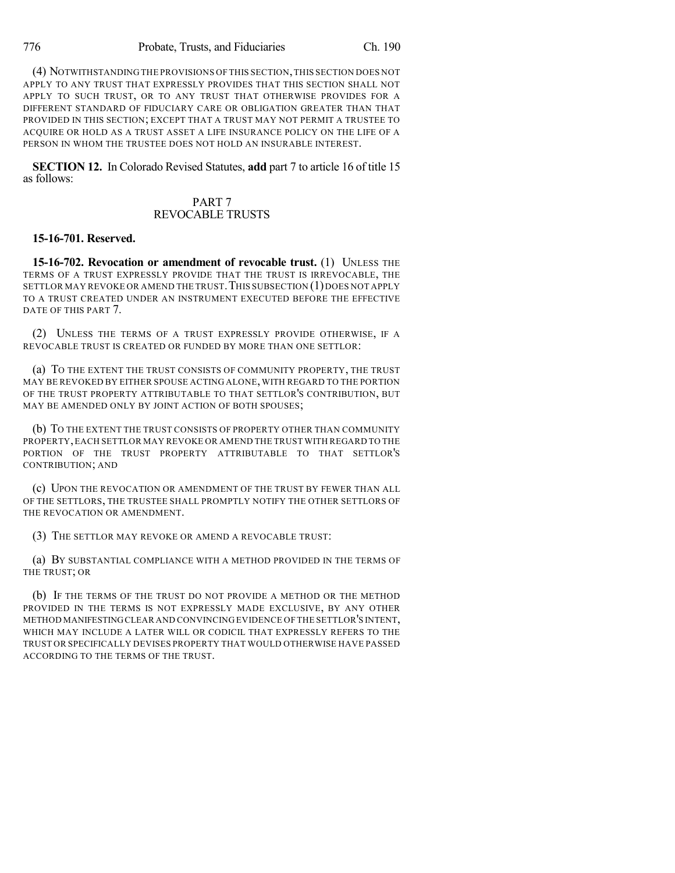(4) NOTWITHSTANDING THE PROVISIONS OF THIS SECTION,THIS SECTION DOES NOT APPLY TO ANY TRUST THAT EXPRESSLY PROVIDES THAT THIS SECTION SHALL NOT APPLY TO SUCH TRUST, OR TO ANY TRUST THAT OTHERWISE PROVIDES FOR A DIFFERENT STANDARD OF FIDUCIARY CARE OR OBLIGATION GREATER THAN THAT PROVIDED IN THIS SECTION; EXCEPT THAT A TRUST MAY NOT PERMIT A TRUSTEE TO ACQUIRE OR HOLD AS A TRUST ASSET A LIFE INSURANCE POLICY ON THE LIFE OF A PERSON IN WHOM THE TRUSTEE DOES NOT HOLD AN INSURABLE INTEREST.

**SECTION 12.** In Colorado Revised Statutes, **add** part 7 to article 16 of title 15 as follows:

#### PART 7 REVOCABLE TRUSTS

#### **15-16-701. Reserved.**

**15-16-702. Revocation or amendment of revocable trust.** (1) UNLESS THE TERMS OF A TRUST EXPRESSLY PROVIDE THAT THE TRUST IS IRREVOCABLE, THE SETTLOR MAY REVOKE OR AMEND THE TRUST. THIS SUBSECTION (1) DOES NOT APPLY TO A TRUST CREATED UNDER AN INSTRUMENT EXECUTED BEFORE THE EFFECTIVE DATE OF THIS PART 7.

(2) UNLESS THE TERMS OF A TRUST EXPRESSLY PROVIDE OTHERWISE, IF A REVOCABLE TRUST IS CREATED OR FUNDED BY MORE THAN ONE SETTLOR:

(a) TO THE EXTENT THE TRUST CONSISTS OF COMMUNITY PROPERTY, THE TRUST MAY BE REVOKED BY EITHER SPOUSE ACTING ALONE, WITH REGARD TO THE PORTION OF THE TRUST PROPERTY ATTRIBUTABLE TO THAT SETTLOR'S CONTRIBUTION, BUT MAY BE AMENDED ONLY BY JOINT ACTION OF BOTH SPOUSES;

(b) TO THE EXTENT THE TRUST CONSISTS OF PROPERTY OTHER THAN COMMUNITY PROPERTY,EACH SETTLOR MAY REVOKE OR AMEND THE TRUST WITH REGARD TO THE PORTION OF THE TRUST PROPERTY ATTRIBUTABLE TO THAT SETTLOR'S CONTRIBUTION; AND

(c) UPON THE REVOCATION OR AMENDMENT OF THE TRUST BY FEWER THAN ALL OF THE SETTLORS, THE TRUSTEE SHALL PROMPTLY NOTIFY THE OTHER SETTLORS OF THE REVOCATION OR AMENDMENT.

(3) THE SETTLOR MAY REVOKE OR AMEND A REVOCABLE TRUST:

(a) BY SUBSTANTIAL COMPLIANCE WITH A METHOD PROVIDED IN THE TERMS OF THE TRUST; OR

(b) IF THE TERMS OF THE TRUST DO NOT PROVIDE A METHOD OR THE METHOD PROVIDED IN THE TERMS IS NOT EXPRESSLY MADE EXCLUSIVE, BY ANY OTHER METHOD MANIFESTINGCLEAR AND CONVINCING EVIDENCE OF THE SETTLOR'S INTENT, WHICH MAY INCLUDE A LATER WILL OR CODICIL THAT EXPRESSLY REFERS TO THE TRUST OR SPECIFICALLY DEVISES PROPERTY THAT WOULD OTHERWISE HAVE PASSED ACCORDING TO THE TERMS OF THE TRUST.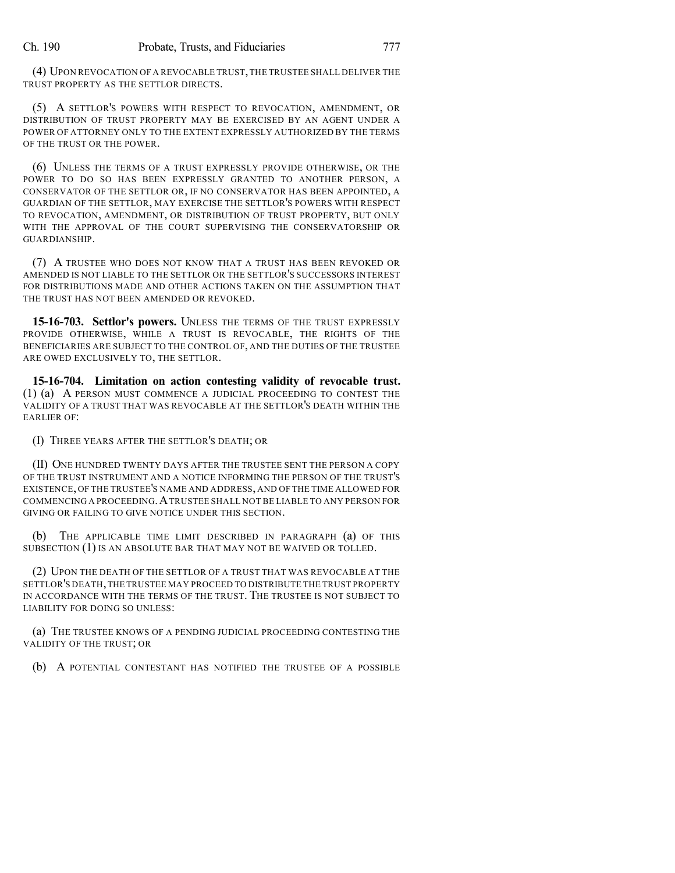(4) UPON REVOCATION OF A REVOCABLE TRUST,THE TRUSTEE SHALL DELIVER THE TRUST PROPERTY AS THE SETTLOR DIRECTS.

(5) A SETTLOR'S POWERS WITH RESPECT TO REVOCATION, AMENDMENT, OR DISTRIBUTION OF TRUST PROPERTY MAY BE EXERCISED BY AN AGENT UNDER A POWER OF ATTORNEY ONLY TO THE EXTENT EXPRESSLY AUTHORIZED BY THE TERMS OF THE TRUST OR THE POWER.

(6) UNLESS THE TERMS OF A TRUST EXPRESSLY PROVIDE OTHERWISE, OR THE POWER TO DO SO HAS BEEN EXPRESSLY GRANTED TO ANOTHER PERSON, A CONSERVATOR OF THE SETTLOR OR, IF NO CONSERVATOR HAS BEEN APPOINTED, A GUARDIAN OF THE SETTLOR, MAY EXERCISE THE SETTLOR'S POWERS WITH RESPECT TO REVOCATION, AMENDMENT, OR DISTRIBUTION OF TRUST PROPERTY, BUT ONLY WITH THE APPROVAL OF THE COURT SUPERVISING THE CONSERVATORSHIP OR GUARDIANSHIP.

(7) A TRUSTEE WHO DOES NOT KNOW THAT A TRUST HAS BEEN REVOKED OR AMENDED IS NOT LIABLE TO THE SETTLOR OR THE SETTLOR'S SUCCESSORS INTEREST FOR DISTRIBUTIONS MADE AND OTHER ACTIONS TAKEN ON THE ASSUMPTION THAT THE TRUST HAS NOT BEEN AMENDED OR REVOKED.

**15-16-703. Settlor's powers.** UNLESS THE TERMS OF THE TRUST EXPRESSLY PROVIDE OTHERWISE, WHILE A TRUST IS REVOCABLE, THE RIGHTS OF THE BENEFICIARIES ARE SUBJECT TO THE CONTROL OF, AND THE DUTIES OF THE TRUSTEE ARE OWED EXCLUSIVELY TO, THE SETTLOR.

**15-16-704. Limitation on action contesting validity of revocable trust.** (1) (a) A PERSON MUST COMMENCE A JUDICIAL PROCEEDING TO CONTEST THE VALIDITY OF A TRUST THAT WAS REVOCABLE AT THE SETTLOR'S DEATH WITHIN THE EARLIER OF:

(I) THREE YEARS AFTER THE SETTLOR'S DEATH; OR

(II) ONE HUNDRED TWENTY DAYS AFTER THE TRUSTEE SENT THE PERSON A COPY OF THE TRUST INSTRUMENT AND A NOTICE INFORMING THE PERSON OF THE TRUST'S EXISTENCE, OF THE TRUSTEE'S NAME AND ADDRESS, AND OF THE TIME ALLOWED FOR COMMENCING A PROCEEDING.ATRUSTEE SHALL NOT BE LIABLE TO ANY PERSON FOR GIVING OR FAILING TO GIVE NOTICE UNDER THIS SECTION.

(b) THE APPLICABLE TIME LIMIT DESCRIBED IN PARAGRAPH (a) OF THIS SUBSECTION (1) IS AN ABSOLUTE BAR THAT MAY NOT BE WAIVED OR TOLLED.

(2) UPON THE DEATH OF THE SETTLOR OF A TRUST THAT WAS REVOCABLE AT THE SETTLOR'S DEATH,THE TRUSTEE MAY PROCEED TO DISTRIBUTE THE TRUST PROPERTY IN ACCORDANCE WITH THE TERMS OF THE TRUST. THE TRUSTEE IS NOT SUBJECT TO LIABILITY FOR DOING SO UNLESS:

(a) THE TRUSTEE KNOWS OF A PENDING JUDICIAL PROCEEDING CONTESTING THE VALIDITY OF THE TRUST; OR

(b) A POTENTIAL CONTESTANT HAS NOTIFIED THE TRUSTEE OF A POSSIBLE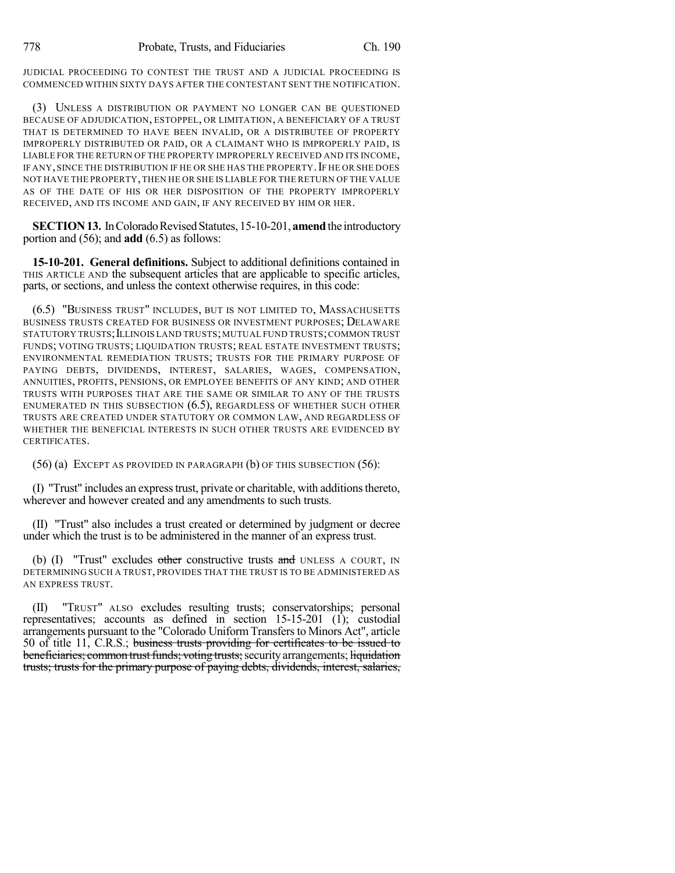JUDICIAL PROCEEDING TO CONTEST THE TRUST AND A JUDICIAL PROCEEDING IS COMMENCED WITHIN SIXTY DAYS AFTER THE CONTESTANT SENT THE NOTIFICATION.

(3) UNLESS A DISTRIBUTION OR PAYMENT NO LONGER CAN BE QUESTIONED BECAUSE OF ADJUDICATION, ESTOPPEL, OR LIMITATION, A BENEFICIARY OF A TRUST THAT IS DETERMINED TO HAVE BEEN INVALID, OR A DISTRIBUTEE OF PROPERTY IMPROPERLY DISTRIBUTED OR PAID, OR A CLAIMANT WHO IS IMPROPERLY PAID, IS LIABLE FOR THE RETURN OF THE PROPERTY IMPROPERLY RECEIVED AND ITS INCOME, IF ANY, SINCE THE DISTRIBUTION IF HE OR SHE HAS THE PROPERTY. IF HE OR SHE DOES NOT HAVE THE PROPERTY,THEN HE OR SHE IS LIABLE FOR THE RETURN OF THE VALUE AS OF THE DATE OF HIS OR HER DISPOSITION OF THE PROPERTY IMPROPERLY RECEIVED, AND ITS INCOME AND GAIN, IF ANY RECEIVED BY HIM OR HER.

**SECTION 13.** In Colorado Revised Statutes, 15-10-201, **amend** the introductory portion and (56); and **add** (6.5) as follows:

**15-10-201. General definitions.** Subject to additional definitions contained in THIS ARTICLE AND the subsequent articles that are applicable to specific articles, parts, or sections, and unless the context otherwise requires, in this code:

(6.5) "BUSINESS TRUST" INCLUDES, BUT IS NOT LIMITED TO, MASSACHUSETTS BUSINESS TRUSTS CREATED FOR BUSINESS OR INVESTMENT PURPOSES; DELAWARE STATUTORY TRUSTS; LLLINOIS LAND TRUSTS; MUTUAL FUND TRUSTS; COMMON TRUST FUNDS; VOTING TRUSTS; LIQUIDATION TRUSTS; REAL ESTATE INVESTMENT TRUSTS; ENVIRONMENTAL REMEDIATION TRUSTS; TRUSTS FOR THE PRIMARY PURPOSE OF PAYING DEBTS, DIVIDENDS, INTEREST, SALARIES, WAGES, COMPENSATION, ANNUITIES, PROFITS, PENSIONS, OR EMPLOYEE BENEFITS OF ANY KIND; AND OTHER TRUSTS WITH PURPOSES THAT ARE THE SAME OR SIMILAR TO ANY OF THE TRUSTS ENUMERATED IN THIS SUBSECTION  $(6.5)$ , REGARDLESS OF WHETHER SUCH OTHER TRUSTS ARE CREATED UNDER STATUTORY OR COMMON LAW, AND REGARDLESS OF WHETHER THE BENEFICIAL INTERESTS IN SUCH OTHER TRUSTS ARE EVIDENCED BY CERTIFICATES.

(56) (a) EXCEPT AS PROVIDED IN PARAGRAPH (b) OF THIS SUBSECTION (56):

(I) "Trust" includes an expresstrust, private or charitable, with additionsthereto, wherever and however created and any amendments to such trusts.

(II) "Trust" also includes a trust created or determined by judgment or decree under which the trust is to be administered in the manner of an express trust.

(b)  $(I)$  "Trust" excludes other constructive trusts and UNLESS A COURT, IN DETERMINING SUCH A TRUST, PROVIDES THAT THE TRUST IS TO BE ADMINISTERED AS AN EXPRESS TRUST.

(II) "TRUST" ALSO excludes resulting trusts; conservatorships; personal representatives; accounts as defined in section 15-15-201 (1); custodial arrangements pursuant to the "Colorado Uniform Transfersto Minors Act", article 50 of title 11, C.R.S.; business trusts providing for certificates to be issued to beneficiaries; common trust funds; voting trusts; security arrangements; liquidation trusts; trusts for the primary purpose of paying debts, dividends, interest, salaries,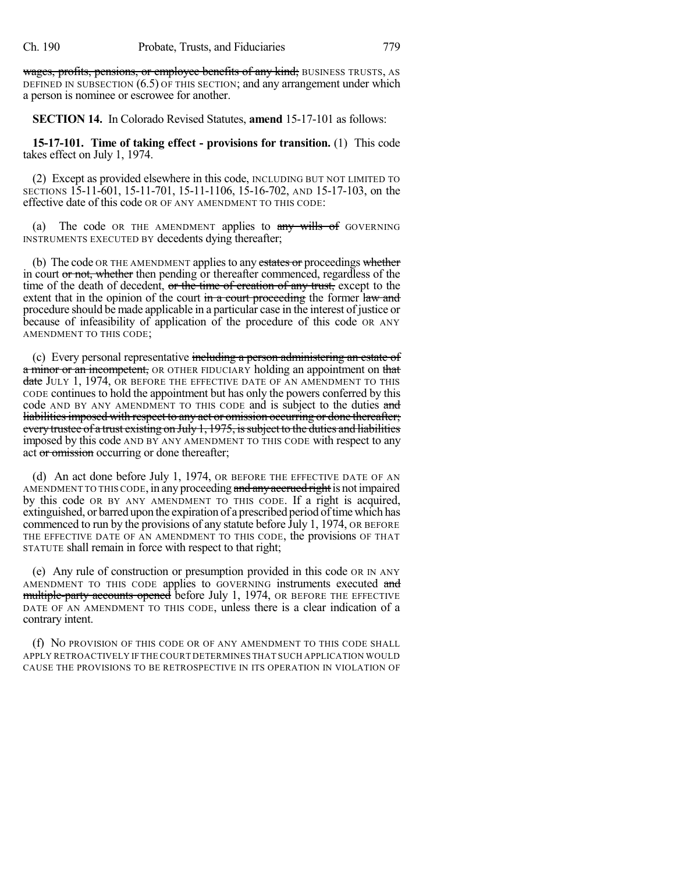wages, profits, pensions, or employee benefits of any kind; BUSINESS TRUSTS, AS DEFINED IN SUBSECTION (6.5) OF THIS SECTION; and any arrangement under which a person is nominee or escrowee for another.

**SECTION 14.** In Colorado Revised Statutes, **amend** 15-17-101 as follows:

**15-17-101. Time of taking effect - provisions for transition.** (1) This code takes effect on July 1, 1974.

(2) Except as provided elsewhere in this code, INCLUDING BUT NOT LIMITED TO SECTIONS 15-11-601, 15-11-701, 15-11-1106, 15-16-702, AND 15-17-103, on the effective date of this code OR OF ANY AMENDMENT TO THIS CODE:

(a) The code OR THE AMENDMENT applies to  $\frac{any}{m+1}$  wills of GOVERNING INSTRUMENTS EXECUTED BY decedents dying thereafter;

(b) The code OR THE AMENDMENT applies to any estates or proceedings whether in court or not, whether then pending or thereafter commenced, regardless of the time of the death of decedent, or the time of creation of any trust, except to the extent that in the opinion of the court in a court proceeding the former law and procedure should be made applicable in a particular case in the interest of justice or because of infeasibility of application of the procedure of this code OR ANY AMENDMENT TO THIS CODE;

(c) Every personal representative including a person administering an estate of a minor or an incompetent, OR OTHER FIDUCIARY holding an appointment on that date JULY 1, 1974, OR BEFORE THE EFFECTIVE DATE OF AN AMENDMENT TO THIS CODE continues to hold the appointment but has only the powers conferred by this code AND BY ANY AMENDMENT TO THIS CODE and is subject to the duties and liabilities imposed with respect to any act or omission occurring or done thereafter; every trustee of a trust existing on July 1, 1975, is subject to the duties and liabilities imposed by this code AND BY ANY AMENDMENT TO THIS CODE with respect to any act or omission occurring or done thereafter;

(d) An act done before July 1, 1974, OR BEFORE THE EFFECTIVE DATE OF AN AMENDMENT TO THIS CODE, in any proceeding and any accrued right is not impaired by this code OR BY ANY AMENDMENT TO THIS CODE. If a right is acquired, extinguished, or barred upon the expiration of a prescribed period of time which has commenced to run by the provisions of any statute before July 1, 1974, OR BEFORE THE EFFECTIVE DATE OF AN AMENDMENT TO THIS CODE, the provisions OF THAT STATUTE shall remain in force with respect to that right;

(e) Any rule of construction or presumption provided in this code OR IN ANY AMENDMENT TO THIS CODE applies to GOVERNING instruments executed and multiple-party accounts opened before July 1, 1974, OR BEFORE THE EFFECTIVE DATE OF AN AMENDMENT TO THIS CODE, unless there is a clear indication of a contrary intent.

(f) NO PROVISION OF THIS CODE OR OF ANY AMENDMENT TO THIS CODE SHALL APPLY RETROACTIVELY IF THE COURT DETERMINES THAT SUCH APPLICATION WOULD CAUSE THE PROVISIONS TO BE RETROSPECTIVE IN ITS OPERATION IN VIOLATION OF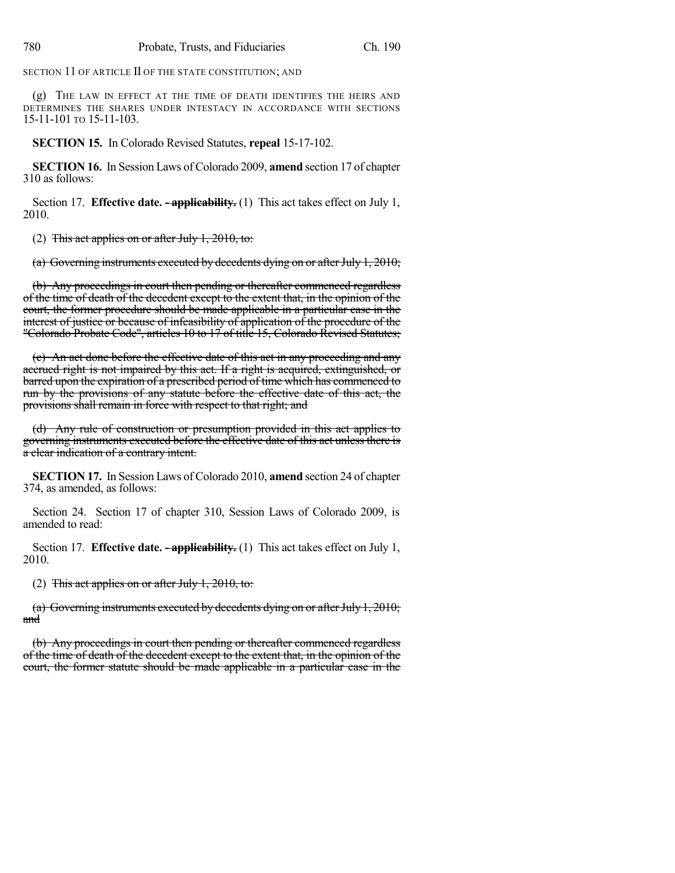SECTION 11 OF ARTICLE II OF THE STATE CONSTITUTION; AND

(g) THE LAW IN EFFECT AT THE TIME OF DEATH IDENTIFIES THE HEIRS AND DETERMINES THE SHARES UNDER INTESTACY IN ACCORDANCE WITH SECTIONS 15-11-101 TO 15-11-103.

**SECTION 15.** In Colorado Revised Statutes, **repeal** 15-17-102.

**SECTION 16.** In Session Laws of Colorado 2009, **amend** section 17 of chapter 310 as follows:

Section 17. **Effective date. - applicability.** (1) This act takes effect on July 1, 2010.

(2) This act applies on or after July 1, 2010, to:

(a) Governing instruments executed by decedents dying on or after July 1, 2010;

(b) Any proceedings in court then pending or thereafter commenced regardless of the time of death of the decedent except to the extent that, in the opinion of the court, the former procedure should be made applicable in a particular case in the interest of justice or because of infeasibility of application of the procedure of the "Colorado Probate Code", articles 10 to 17 of title 15, Colorado Revised Statutes;

(c) An act done before the effective date of this act in any proceeding and any accrued right is not impaired by this act. If a right is acquired, extinguished, or barred upon the expiration of a prescribed period of time which has commenced to run by the provisions of any statute before the effective date of this act, the provisions shall remain in force with respect to that right; and

(d) Any rule of construction or presumption provided in this act applies to governing instruments executed before the effective date of this act unless there is a clear indication of a contrary intent.

**SECTION 17.** In Session Laws of Colorado 2010, **amend** section 24 of chapter 374, as amended, as follows:

Section 24. Section 17 of chapter 310, Session Laws of Colorado 2009, is amended to read:

Section 17. **Effective date. -- applicability.** (1) This act takes effect on July 1, 2010.

(2) This act applies on or after July 1, 2010, to:

(a) Governing instruments executed by decedents dying on or after July 1,  $2010$ ; and

(b) Any proceedings in court then pending or thereafter commenced regardless of the time of death of the decedent except to the extent that, in the opinion of the court, the former statute should be made applicable in a particular case in the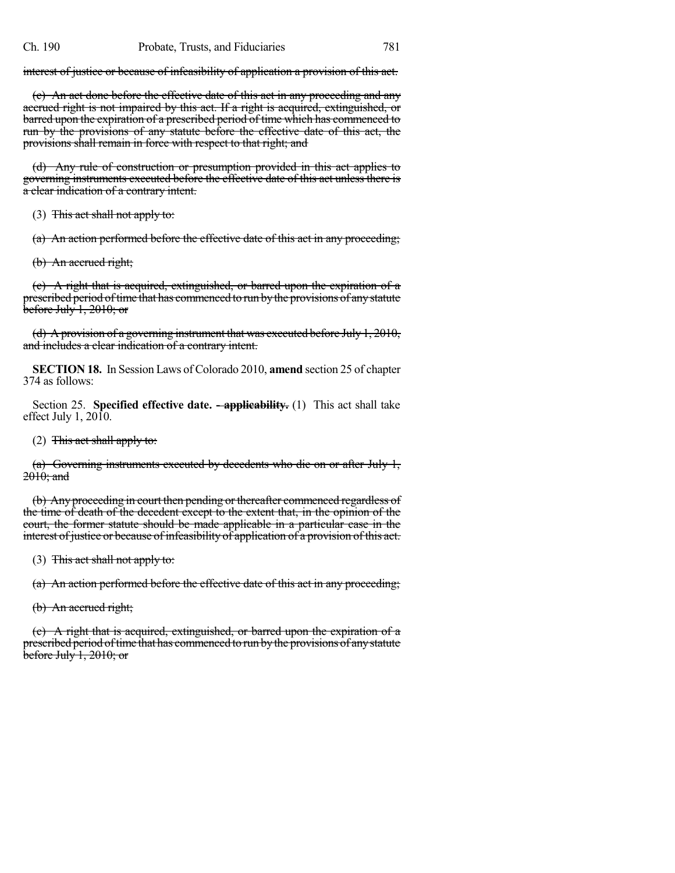interest of justice or because of infeasibility of application a provision of this act.

(c) An act done before the effective date of this act in any proceeding and any accrued right is not impaired by this act. If a right is acquired, extinguished, or barred upon the expiration of a prescribed period of time which has commenced to run by the provisions of any statute before the effective date of this act, the provisions shall remain in force with respect to that right; and

(d) Any rule of construction or presumption provided in this act applies to governing instruments executed before the effective date of this act unless there is a clear indication of a contrary intent.

(3) This act shall not apply to:

(a) An action performed before the effective date of this act in any proceeding;

(b) An accrued right;

(c) A right that is acquired, extinguished, or barred upon the expiration of a prescribed period of time that has commenced to run by the provisions of any statute  $\overline{\text{before July 1, 2010; or}}$ 

(d) A provision of a governing instrument that was executed before July 1, 2010, and includes a clear indication of a contrary intent.

**SECTION 18.** In Session Laws of Colorado 2010, **amend** section 25 of chapter 374 as follows:

Section 25. **Specified effective date. - applicability.** (1) This act shall take effect July 1,  $2010$ .

(2) This act shall apply to:

(a) Governing instruments executed by decedents who die on or after July 1, 2010: and

(b) Any proceeding in court then pending or thereafter commenced regardless of the time of death of the decedent except to the extent that, in the opinion of the court, the former statute should be made applicable in a particular case in the interest of justice or because of infeasibility of application of a provision of this act.

(3) This act shall not apply to:

(a) An action performed before the effective date of this act in any proceeding;

(b) An accrued right;

(c) A right that is acquired, extinguished, or barred upon the expiration of a prescribed period oftime that has commenced to run bythe provisions of anystatute  $\overline{\text{before July 1, 2010; or}}$